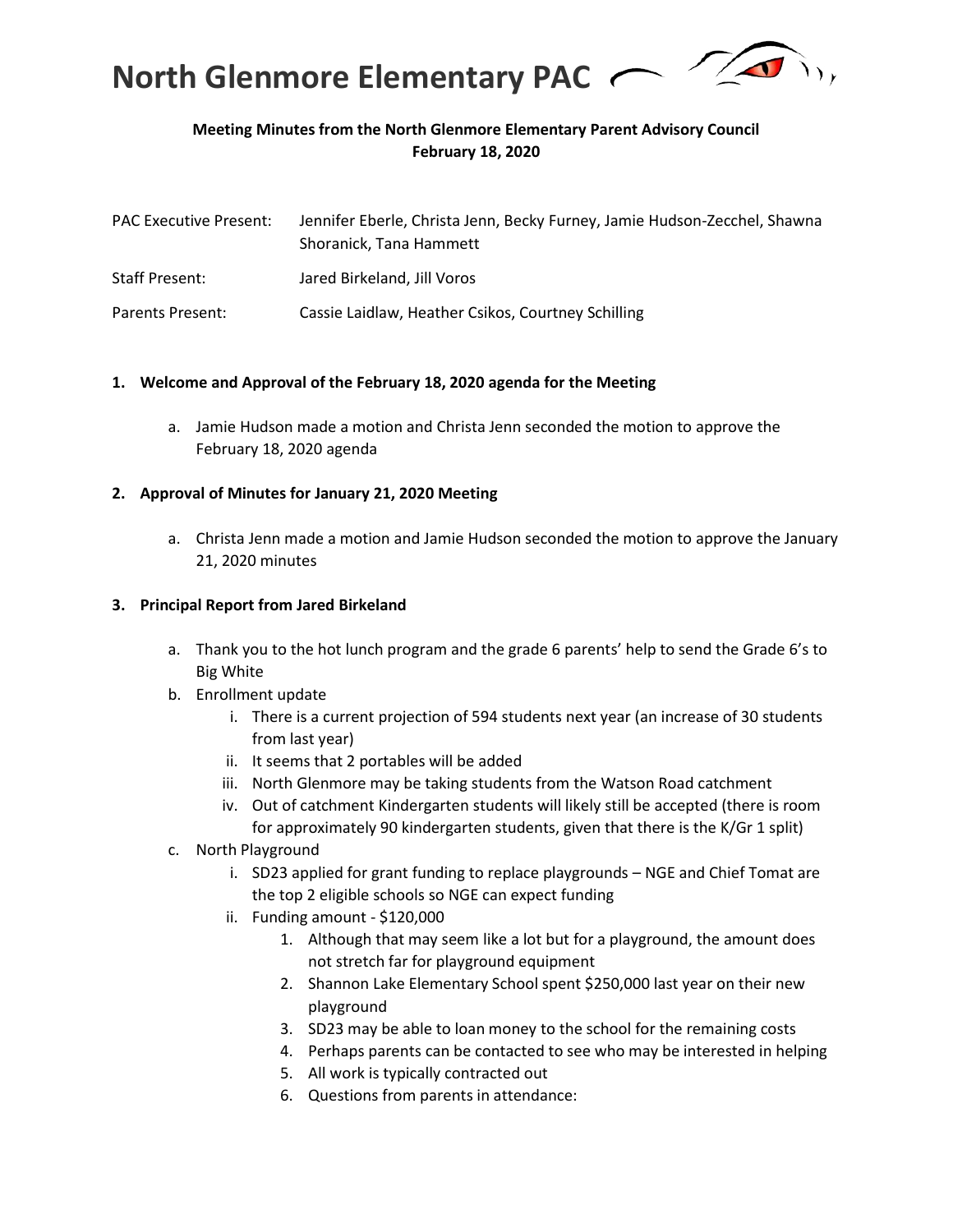

# **Meeting Minutes from the North Glenmore Elementary Parent Advisory Council February 18, 2020**

| <b>PAC Executive Present:</b> | Jennifer Eberle, Christa Jenn, Becky Furney, Jamie Hudson-Zecchel, Shawna<br>Shoranick, Tana Hammett |
|-------------------------------|------------------------------------------------------------------------------------------------------|
| <b>Staff Present:</b>         | Jared Birkeland, Jill Voros                                                                          |
| Parents Present:              | Cassie Laidlaw, Heather Csikos, Courtney Schilling                                                   |

#### **1. Welcome and Approval of the February 18, 2020 agenda for the Meeting**

a. Jamie Hudson made a motion and Christa Jenn seconded the motion to approve the February 18, 2020 agenda

#### **2. Approval of Minutes for January 21, 2020 Meeting**

a. Christa Jenn made a motion and Jamie Hudson seconded the motion to approve the January 21, 2020 minutes

#### **3. Principal Report from Jared Birkeland**

- a. Thank you to the hot lunch program and the grade 6 parents' help to send the Grade 6's to Big White
- b. Enrollment update
	- i. There is a current projection of 594 students next year (an increase of 30 students from last year)
	- ii. It seems that 2 portables will be added
	- iii. North Glenmore may be taking students from the Watson Road catchment
	- iv. Out of catchment Kindergarten students will likely still be accepted (there is room for approximately 90 kindergarten students, given that there is the K/Gr 1 split)
- c. North Playground
	- i. SD23 applied for grant funding to replace playgrounds NGE and Chief Tomat are the top 2 eligible schools so NGE can expect funding
	- ii. Funding amount \$120,000
		- 1. Although that may seem like a lot but for a playground, the amount does not stretch far for playground equipment
		- 2. Shannon Lake Elementary School spent \$250,000 last year on their new playground
		- 3. SD23 may be able to loan money to the school for the remaining costs
		- 4. Perhaps parents can be contacted to see who may be interested in helping
		- 5. All work is typically contracted out
		- 6. Questions from parents in attendance: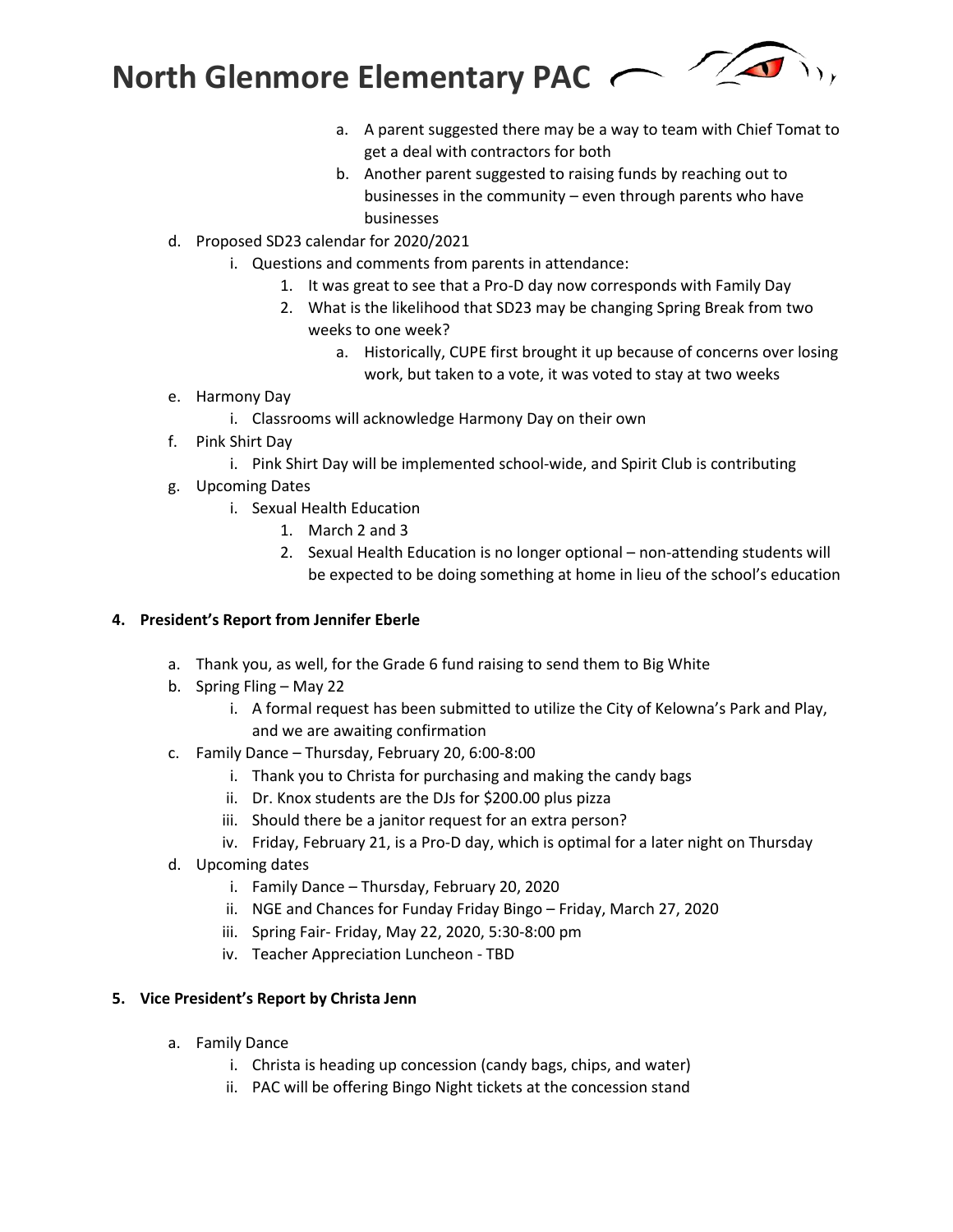**North Glenmore Elementary PAC**



- a. A parent suggested there may be a way to team with Chief Tomat to get a deal with contractors for both
- b. Another parent suggested to raising funds by reaching out to businesses in the community – even through parents who have businesses
- d. Proposed SD23 calendar for 2020/2021
	- i. Questions and comments from parents in attendance:
		- 1. It was great to see that a Pro-D day now corresponds with Family Day
		- 2. What is the likelihood that SD23 may be changing Spring Break from two weeks to one week?
			- a. Historically, CUPE first brought it up because of concerns over losing work, but taken to a vote, it was voted to stay at two weeks
- e. Harmony Day
	- i. Classrooms will acknowledge Harmony Day on their own
- f. Pink Shirt Day
	- i. Pink Shirt Day will be implemented school-wide, and Spirit Club is contributing
- g. Upcoming Dates
	- i. Sexual Health Education
		- 1. March 2 and 3
		- 2. Sexual Health Education is no longer optional non-attending students will be expected to be doing something at home in lieu of the school's education

### **4. President's Report from Jennifer Eberle**

- a. Thank you, as well, for the Grade 6 fund raising to send them to Big White
- b. Spring Fling May 22
	- i. A formal request has been submitted to utilize the City of Kelowna's Park and Play, and we are awaiting confirmation
- c. Family Dance Thursday, February 20, 6:00-8:00
	- i. Thank you to Christa for purchasing and making the candy bags
	- ii. Dr. Knox students are the DJs for \$200.00 plus pizza
	- iii. Should there be a janitor request for an extra person?
	- iv. Friday, February 21, is a Pro-D day, which is optimal for a later night on Thursday
- d. Upcoming dates
	- i. Family Dance Thursday, February 20, 2020
	- ii. NGE and Chances for Funday Friday Bingo Friday, March 27, 2020
	- iii. Spring Fair- Friday, May 22, 2020, 5:30-8:00 pm
	- iv. Teacher Appreciation Luncheon TBD

### **5. Vice President's Report by Christa Jenn**

- a. Family Dance
	- i. Christa is heading up concession (candy bags, chips, and water)
	- ii. PAC will be offering Bingo Night tickets at the concession stand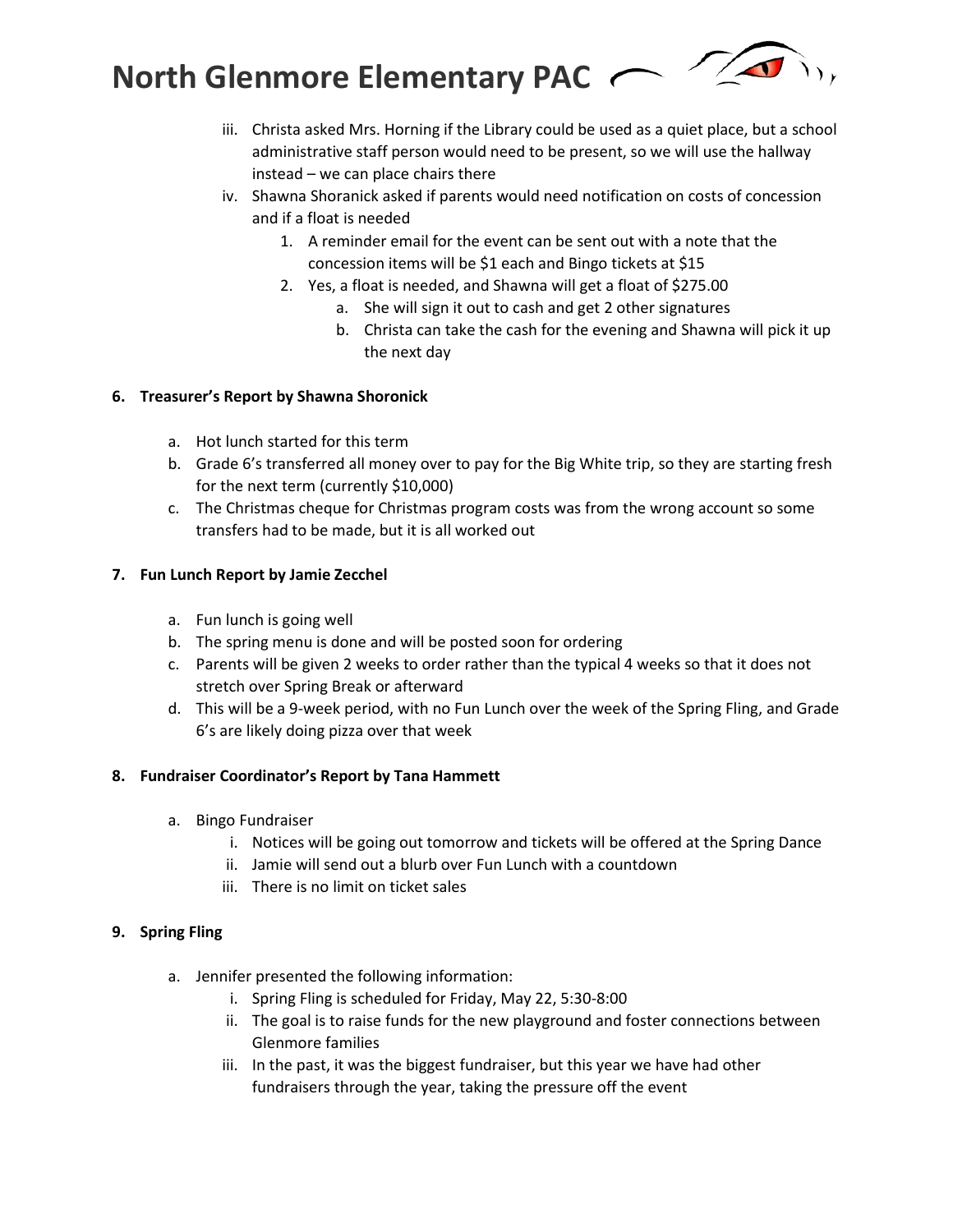**North Glenmore Elementary PAC** 



- iii. Christa asked Mrs. Horning if the Library could be used as a quiet place, but a school administrative staff person would need to be present, so we will use the hallway instead – we can place chairs there
- iv. Shawna Shoranick asked if parents would need notification on costs of concession and if a float is needed
	- 1. A reminder email for the event can be sent out with a note that the concession items will be \$1 each and Bingo tickets at \$15
	- 2. Yes, a float is needed, and Shawna will get a float of \$275.00
		- a. She will sign it out to cash and get 2 other signatures
		- b. Christa can take the cash for the evening and Shawna will pick it up the next day

# **6. Treasurer's Report by Shawna Shoronick**

- a. Hot lunch started for this term
- b. Grade 6's transferred all money over to pay for the Big White trip, so they are starting fresh for the next term (currently \$10,000)
- c. The Christmas cheque for Christmas program costs was from the wrong account so some transfers had to be made, but it is all worked out

# **7. Fun Lunch Report by Jamie Zecchel**

- a. Fun lunch is going well
- b. The spring menu is done and will be posted soon for ordering
- c. Parents will be given 2 weeks to order rather than the typical 4 weeks so that it does not stretch over Spring Break or afterward
- d. This will be a 9-week period, with no Fun Lunch over the week of the Spring Fling, and Grade 6's are likely doing pizza over that week

### **8. Fundraiser Coordinator's Report by Tana Hammett**

- a. Bingo Fundraiser
	- i. Notices will be going out tomorrow and tickets will be offered at the Spring Dance
	- ii. Jamie will send out a blurb over Fun Lunch with a countdown
	- iii. There is no limit on ticket sales

### **9. Spring Fling**

- a. Jennifer presented the following information:
	- i. Spring Fling is scheduled for Friday, May 22, 5:30-8:00
	- ii. The goal is to raise funds for the new playground and foster connections between Glenmore families
	- iii. In the past, it was the biggest fundraiser, but this year we have had other fundraisers through the year, taking the pressure off the event